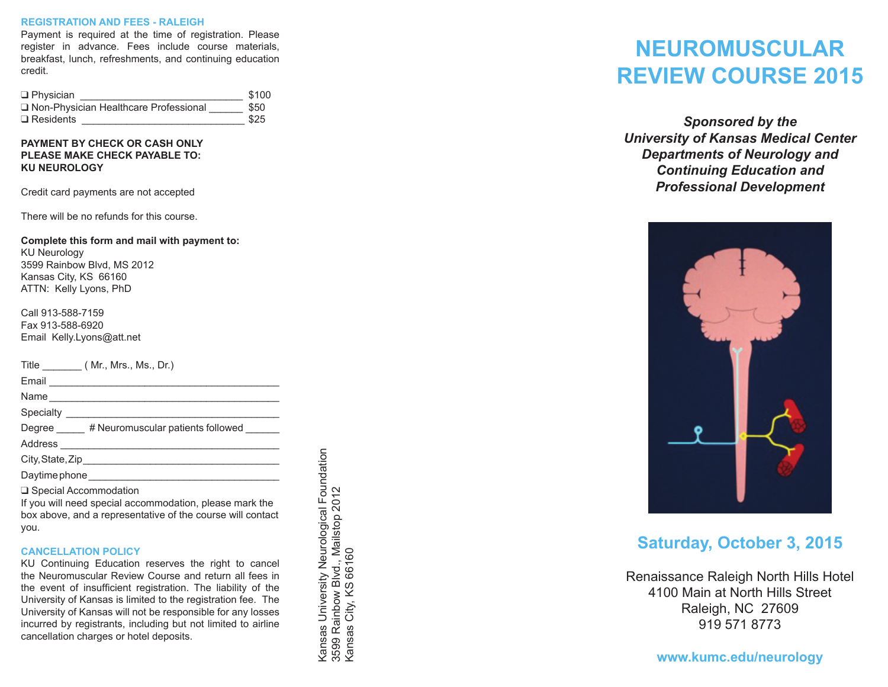#### **REGISTRATION AND FEES - RALEIGH**

Payment is required at the time of registration. Please register in advance. Fees include course materials, breakfast, lunch, refreshments, and continuing education credit.

| $\Box$ Physician                        | \$100 |
|-----------------------------------------|-------|
| □ Non-Physician Healthcare Professional | \$50  |
| $\Box$ Residents                        | \$25  |

**PAYMENT BY CHECK OR CASH ONLY Please make check payable to: KU Neurology**

Credit card payments are not accepted

There will be no refunds for this course.

**Complete this form and mail with payment to:** KU Neurology 3599 Rainbow Blvd, MS 2012 Kansas City, KS 66160 ATTN: Kelly Lyons, PhD

Call 913-588-7159 Fax 913-588-6920 Email Kelly.Lyons@att.net

| Title (Mr., Mrs., Ms., Dr.)                                                        |
|------------------------------------------------------------------------------------|
|                                                                                    |
|                                                                                    |
| Specialty _____________________                                                    |
| Degree #Neuromuscular patients followed                                            |
|                                                                                    |
|                                                                                    |
|                                                                                    |
| □ Special Accommodation<br>If you will need enocial cocommodation, please mark the |

If you will need special accommodation, please mark the box above, and a representative of the course will contact you.

### **CANCELLATION POLICY**

KU Continuing Education reserves the right to cancel the Neuromuscular Review Course and return all fees in the event of insufficient registration. The liability of the University of Kansas is limited to the registration fee. The University of Kansas will not be responsible for any losses incurred by registrants, including but not limited to airline cancellation charges or hotel deposits.

Kansas University Neurological Foundation<br>3599 Rainbow Blvd., Mailstop 2012<br>Kansas City, KS 66160 Kansas University Neurological Foundation 3599 Rainbow Blvd., Mailstop 2012 Kansas City, KS 66160

# **NEUROMUSCULAR REVIEW COURSE 2015**

*Sponsored by the University of Kansas Medical Center Departments of Neurology and Continuing Education and Professional Development*



# **Saturday, October 3, 2015**

Renaissance Raleigh North Hills Hotel 4100 Main at North Hills Street Raleigh, NC 27609 919 571 8773

**www.kumc.edu/neurology**